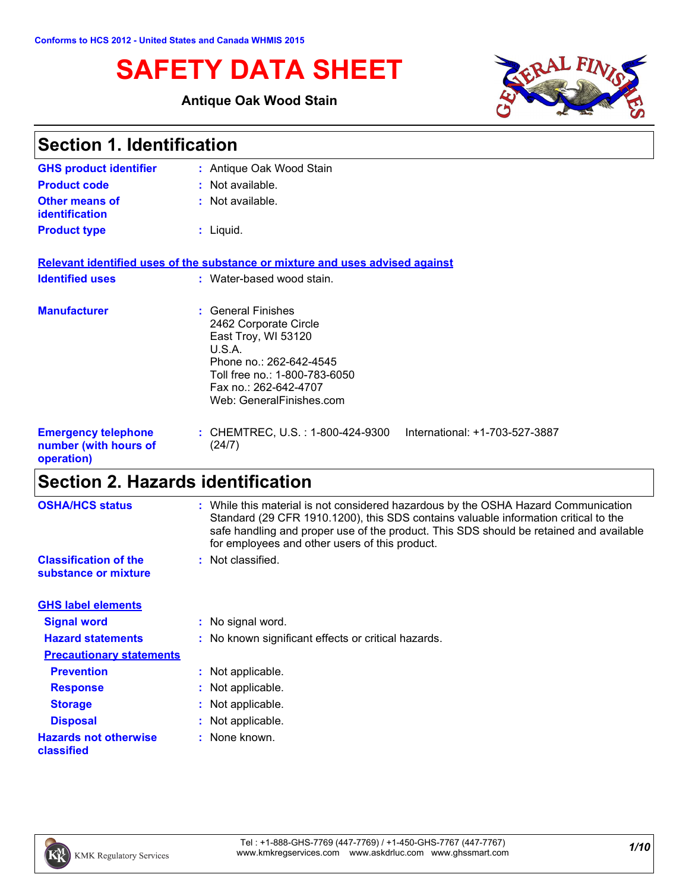# **SAFETY DATA SHEET**

### **Antique Oak Wood Stain**



| <b>Section 1. Identification</b>                                  |                                                                                                                                                                                               |  |
|-------------------------------------------------------------------|-----------------------------------------------------------------------------------------------------------------------------------------------------------------------------------------------|--|
| <b>GHS product identifier</b>                                     | : Antique Oak Wood Stain                                                                                                                                                                      |  |
| <b>Product code</b>                                               | : Not available.                                                                                                                                                                              |  |
| Other means of<br>identification                                  | : Not available.                                                                                                                                                                              |  |
| <b>Product type</b>                                               | $:$ Liquid.                                                                                                                                                                                   |  |
|                                                                   | Relevant identified uses of the substance or mixture and uses advised against                                                                                                                 |  |
| <b>Identified uses</b>                                            | : Water-based wood stain.                                                                                                                                                                     |  |
| <b>Manufacturer</b>                                               | : General Finishes<br>2462 Corporate Circle<br>East Troy, WI 53120<br>U.S.A.<br>Phone no.: 262-642-4545<br>Toll free no.: 1-800-783-6050<br>Fax no.: 262-642-4707<br>Web: GeneralFinishes.com |  |
| <b>Emergency telephone</b><br>number (with hours of<br>operation) | : CHEMTREC, U.S. : 1-800-424-9300<br>International: +1-703-527-3887<br>(24/7)                                                                                                                 |  |

# **Section 2. Hazards identification**

| <b>OSHA/HCS status</b>                               | : While this material is not considered hazardous by the OSHA Hazard Communication<br>Standard (29 CFR 1910.1200), this SDS contains valuable information critical to the<br>safe handling and proper use of the product. This SDS should be retained and available<br>for employees and other users of this product. |
|------------------------------------------------------|-----------------------------------------------------------------------------------------------------------------------------------------------------------------------------------------------------------------------------------------------------------------------------------------------------------------------|
| <b>Classification of the</b><br>substance or mixture | : Not classified.                                                                                                                                                                                                                                                                                                     |
| <b>GHS label elements</b>                            |                                                                                                                                                                                                                                                                                                                       |
| <b>Signal word</b>                                   | : No signal word.                                                                                                                                                                                                                                                                                                     |
| <b>Hazard statements</b>                             | : No known significant effects or critical hazards.                                                                                                                                                                                                                                                                   |
| <b>Precautionary statements</b>                      |                                                                                                                                                                                                                                                                                                                       |
| <b>Prevention</b>                                    | : Not applicable.                                                                                                                                                                                                                                                                                                     |
| <b>Response</b>                                      | : Not applicable.                                                                                                                                                                                                                                                                                                     |
| <b>Storage</b>                                       | : Not applicable.                                                                                                                                                                                                                                                                                                     |
| <b>Disposal</b>                                      | : Not applicable.                                                                                                                                                                                                                                                                                                     |
| <b>Hazards not otherwise</b><br>classified           | : None known.                                                                                                                                                                                                                                                                                                         |

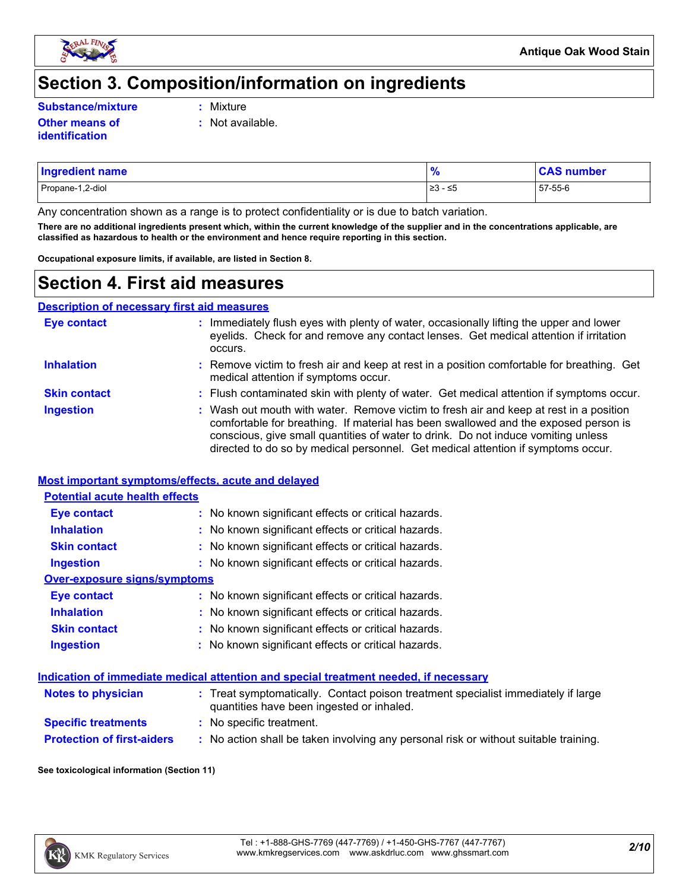

### **Section 3. Composition/information on ingredients**

**Substance/mixture :**

- Mixture
- **Other means of identification**
- **:** Not available.
- Propane-1,2-diol ≥3 ≤5 57-55-6 **Ingredient name % CAS number**

Any concentration shown as a range is to protect confidentiality or is due to batch variation.

**There are no additional ingredients present which, within the current knowledge of the supplier and in the concentrations applicable, are classified as hazardous to health or the environment and hence require reporting in this section.**

**Occupational exposure limits, if available, are listed in Section 8.**

### **Section 4. First aid measures**

**Description of necessary first aid measures**

| <b>Eye contact</b>  | : Immediately flush eyes with plenty of water, occasionally lifting the upper and lower<br>eyelids. Check for and remove any contact lenses. Get medical attention if irritation<br>occurs.                                                                                                                                                            |
|---------------------|--------------------------------------------------------------------------------------------------------------------------------------------------------------------------------------------------------------------------------------------------------------------------------------------------------------------------------------------------------|
| <b>Inhalation</b>   | : Remove victim to fresh air and keep at rest in a position comfortable for breathing. Get<br>medical attention if symptoms occur.                                                                                                                                                                                                                     |
| <b>Skin contact</b> | : Flush contaminated skin with plenty of water. Get medical attention if symptoms occur.                                                                                                                                                                                                                                                               |
| <b>Ingestion</b>    | : Wash out mouth with water. Remove victim to fresh air and keep at rest in a position<br>comfortable for breathing. If material has been swallowed and the exposed person is<br>conscious, give small quantities of water to drink. Do not induce vomiting unless<br>directed to do so by medical personnel. Get medical attention if symptoms occur. |

#### **Most important symptoms/effects, acute and delayed**

| <b>Potential acute health effects</b> |                                                     |  |  |
|---------------------------------------|-----------------------------------------------------|--|--|
| Eye contact                           | : No known significant effects or critical hazards. |  |  |
| <b>Inhalation</b>                     | : No known significant effects or critical hazards. |  |  |
| <b>Skin contact</b>                   | : No known significant effects or critical hazards. |  |  |
| <b>Ingestion</b>                      | : No known significant effects or critical hazards. |  |  |
| Over-exposure signs/symptoms          |                                                     |  |  |
| Eye contact                           | : No known significant effects or critical hazards. |  |  |
| <b>Inhalation</b>                     | : No known significant effects or critical hazards. |  |  |
| <b>Skin contact</b>                   | : No known significant effects or critical hazards. |  |  |
| <b>Ingestion</b>                      | : No known significant effects or critical hazards. |  |  |

#### **Indication of immediate medical attention and special treatment needed, if necessary**

| <b>Notes to physician</b>         | : Treat symptomatically. Contact poison treatment specialist immediately if large<br>quantities have been ingested or inhaled. |
|-----------------------------------|--------------------------------------------------------------------------------------------------------------------------------|
| <b>Specific treatments</b>        | : No specific treatment.                                                                                                       |
| <b>Protection of first-aiders</b> | No action shall be taken involving any personal risk or without suitable training.                                             |

#### **See toxicological information (Section 11)**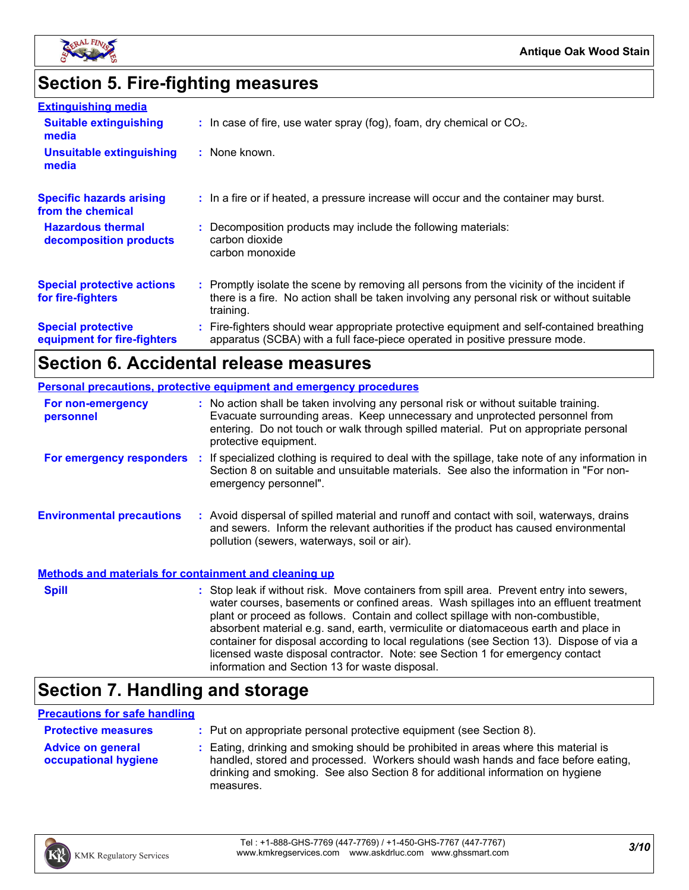

# **Section 5. Fire-fighting measures**

| <b>Extinguishing media</b>                               |                                                                                                                                                                                                     |
|----------------------------------------------------------|-----------------------------------------------------------------------------------------------------------------------------------------------------------------------------------------------------|
| <b>Suitable extinguishing</b><br>media                   | $\therefore$ In case of fire, use water spray (fog), foam, dry chemical or CO <sub>2</sub> .                                                                                                        |
| <b>Unsuitable extinguishing</b><br>media                 | : None known.                                                                                                                                                                                       |
| <b>Specific hazards arising</b><br>from the chemical     | : In a fire or if heated, a pressure increase will occur and the container may burst.                                                                                                               |
| <b>Hazardous thermal</b><br>decomposition products       | : Decomposition products may include the following materials:<br>carbon dioxide<br>carbon monoxide                                                                                                  |
| <b>Special protective actions</b><br>for fire-fighters   | : Promptly isolate the scene by removing all persons from the vicinity of the incident if<br>there is a fire. No action shall be taken involving any personal risk or without suitable<br>training. |
| <b>Special protective</b><br>equipment for fire-fighters | : Fire-fighters should wear appropriate protective equipment and self-contained breathing<br>apparatus (SCBA) with a full face-piece operated in positive pressure mode.                            |

# **Section 6. Accidental release measures**

| <b>Personal precautions, protective equipment and emergency procedures</b> |                                                                                                                                                                                                                                                                                                                                                                                                                                                                                                                                                                                            |  |
|----------------------------------------------------------------------------|--------------------------------------------------------------------------------------------------------------------------------------------------------------------------------------------------------------------------------------------------------------------------------------------------------------------------------------------------------------------------------------------------------------------------------------------------------------------------------------------------------------------------------------------------------------------------------------------|--|
| For non-emergency<br>personnel                                             | : No action shall be taken involving any personal risk or without suitable training.<br>Evacuate surrounding areas. Keep unnecessary and unprotected personnel from<br>entering. Do not touch or walk through spilled material. Put on appropriate personal<br>protective equipment.                                                                                                                                                                                                                                                                                                       |  |
| <b>For emergency responders :</b>                                          | If specialized clothing is required to deal with the spillage, take note of any information in<br>Section 8 on suitable and unsuitable materials. See also the information in "For non-<br>emergency personnel".                                                                                                                                                                                                                                                                                                                                                                           |  |
| <b>Environmental precautions</b>                                           | : Avoid dispersal of spilled material and runoff and contact with soil, waterways, drains<br>and sewers. Inform the relevant authorities if the product has caused environmental<br>pollution (sewers, waterways, soil or air).                                                                                                                                                                                                                                                                                                                                                            |  |
| <b>Methods and materials for containment and cleaning up</b>               |                                                                                                                                                                                                                                                                                                                                                                                                                                                                                                                                                                                            |  |
| <b>Spill</b>                                                               | : Stop leak if without risk. Move containers from spill area. Prevent entry into sewers,<br>water courses, basements or confined areas. Wash spillages into an effluent treatment<br>plant or proceed as follows. Contain and collect spillage with non-combustible,<br>absorbent material e.g. sand, earth, vermiculite or diatomaceous earth and place in<br>container for disposal according to local regulations (see Section 13). Dispose of via a<br>licensed waste disposal contractor. Note: see Section 1 for emergency contact<br>information and Section 13 for waste disposal. |  |

## **Section 7. Handling and storage**

#### **Precautions for safe handling**

| <b>Protective measures</b>                       | : Put on appropriate personal protective equipment (see Section 8).                                                                                                                                                                                                    |
|--------------------------------------------------|------------------------------------------------------------------------------------------------------------------------------------------------------------------------------------------------------------------------------------------------------------------------|
| <b>Advice on general</b><br>occupational hygiene | : Eating, drinking and smoking should be prohibited in areas where this material is<br>handled, stored and processed. Workers should wash hands and face before eating,<br>drinking and smoking. See also Section 8 for additional information on hygiene<br>measures. |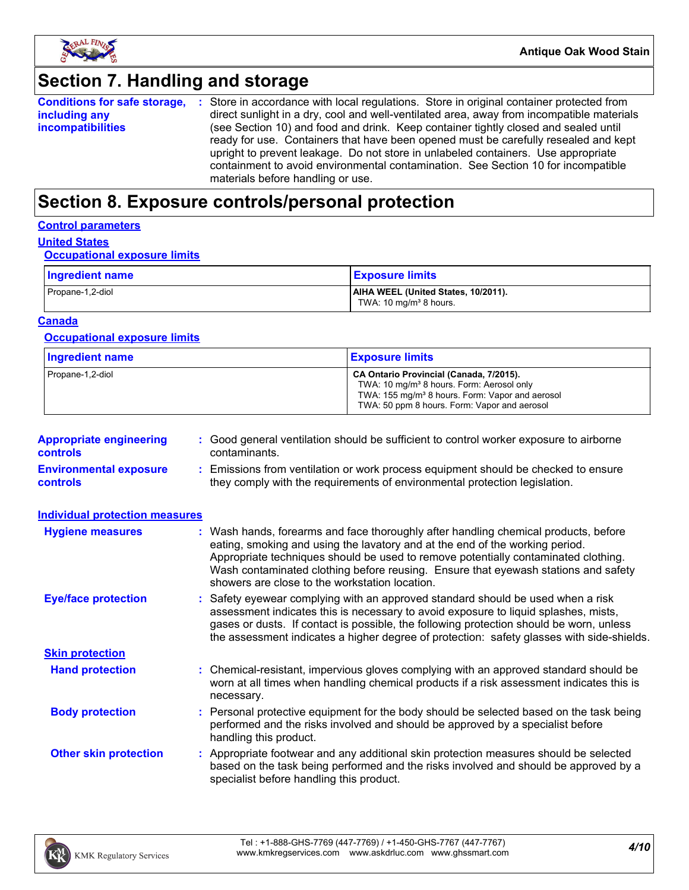

### **Section 7. Handling and storage**

|                          | <b>Conditions for safe storage, :</b> Store in accordance with local regulations. Store in original container protected from |
|--------------------------|------------------------------------------------------------------------------------------------------------------------------|
| including any            | direct sunlight in a dry, cool and well-ventilated area, away from incompatible materials                                    |
| <b>incompatibilities</b> | (see Section 10) and food and drink. Keep container tightly closed and sealed until                                          |
|                          | ready for use. Containers that have been opened must be carefully resealed and kept                                          |
|                          | upright to prevent leakage. Do not store in unlabeled containers. Use appropriate                                            |
|                          | containment to avoid environmental contamination. See Section 10 for incompatible                                            |
|                          | materials before handling or use.                                                                                            |

### **Section 8. Exposure controls/personal protection**

#### **Control parameters**

### **United States**

#### **Occupational exposure limits**

| Ingredient name  | <b>Exposure limits</b>                                                    |
|------------------|---------------------------------------------------------------------------|
| Propane-1,2-diol | AIHA WEEL (United States, 10/2011).<br>TWA: 10 mg/m <sup>3</sup> 8 hours. |

#### **Canada**

#### **Occupational exposure limits**

| <b>Ingredient name</b> | <b>Exposure limits</b>                                                                                                                                                                                          |
|------------------------|-----------------------------------------------------------------------------------------------------------------------------------------------------------------------------------------------------------------|
| Propane-1,2-diol       | CA Ontario Provincial (Canada, 7/2015).<br>TWA: 10 mg/m <sup>3</sup> 8 hours. Form: Aerosol only<br>TWA: 155 mg/m <sup>3</sup> 8 hours. Form: Vapor and aerosol<br>TWA: 50 ppm 8 hours. Form: Vapor and aerosol |

| <b>Appropriate engineering</b><br><b>controls</b> | : Good general ventilation should be sufficient to control worker exposure to airborne<br>contaminants.                                                          |
|---------------------------------------------------|------------------------------------------------------------------------------------------------------------------------------------------------------------------|
| <b>Environmental exposure</b><br><b>controls</b>  | : Emissions from ventilation or work process equipment should be checked to ensure<br>they comply with the requirements of environmental protection legislation. |

| <b>Individual protection measures</b> |                                                                                                                                                                                                                                                                                                                                                                                                   |
|---------------------------------------|---------------------------------------------------------------------------------------------------------------------------------------------------------------------------------------------------------------------------------------------------------------------------------------------------------------------------------------------------------------------------------------------------|
| <b>Hygiene measures</b>               | : Wash hands, forearms and face thoroughly after handling chemical products, before<br>eating, smoking and using the lavatory and at the end of the working period.<br>Appropriate techniques should be used to remove potentially contaminated clothing.<br>Wash contaminated clothing before reusing. Ensure that eyewash stations and safety<br>showers are close to the workstation location. |
| <b>Eye/face protection</b>            | : Safety eyewear complying with an approved standard should be used when a risk<br>assessment indicates this is necessary to avoid exposure to liquid splashes, mists,<br>gases or dusts. If contact is possible, the following protection should be worn, unless<br>the assessment indicates a higher degree of protection: safety glasses with side-shields.                                    |
| <b>Skin protection</b>                |                                                                                                                                                                                                                                                                                                                                                                                                   |
| <b>Hand protection</b>                | : Chemical-resistant, impervious gloves complying with an approved standard should be<br>worn at all times when handling chemical products if a risk assessment indicates this is<br>necessary.                                                                                                                                                                                                   |
| <b>Body protection</b>                | : Personal protective equipment for the body should be selected based on the task being<br>performed and the risks involved and should be approved by a specialist before<br>handling this product.                                                                                                                                                                                               |
| <b>Other skin protection</b>          | : Appropriate footwear and any additional skin protection measures should be selected<br>based on the task being performed and the risks involved and should be approved by a<br>specialist before handling this product.                                                                                                                                                                         |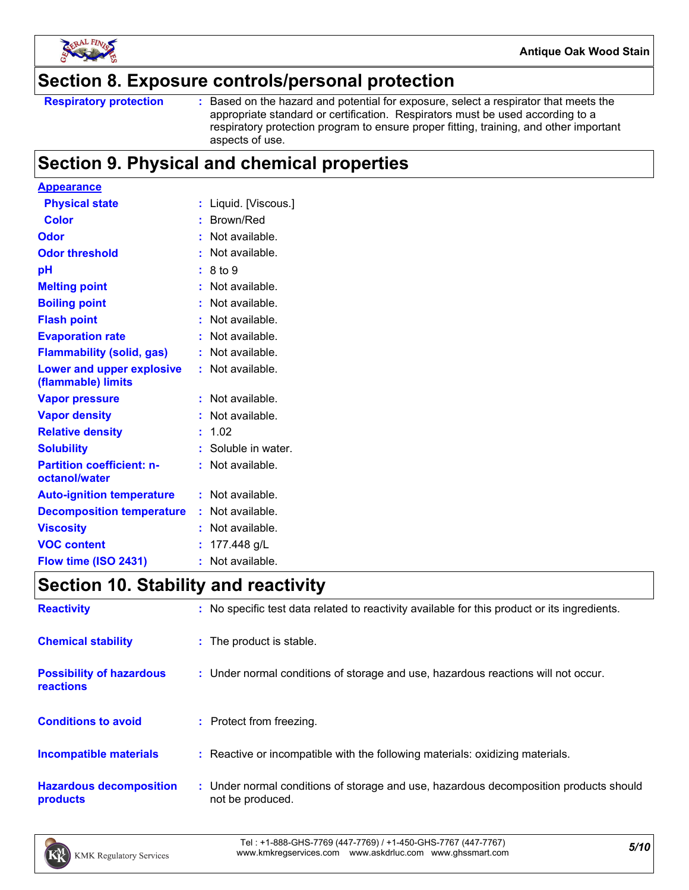

### **Section 8. Exposure controls/personal protection**

Based on the hazard and potential for exposure, select a respirator that meets the appropriate standard or certification. Respirators must be used according to a respiratory protection program to ensure proper fitting, training, and other important aspects of use.

### **Section 9. Physical and chemical properties**

| <b>Appearance</b>                                 |    |                     |
|---------------------------------------------------|----|---------------------|
| <b>Physical state</b>                             |    | Liquid. [Viscous.]  |
| <b>Color</b>                                      |    | Brown/Red           |
| Odor                                              |    | Not available.      |
| <b>Odor threshold</b>                             |    | Not available.      |
| рH                                                |    | 8 to 9              |
| <b>Melting point</b>                              |    | Not available.      |
| <b>Boiling point</b>                              |    | Not available.      |
| <b>Flash point</b>                                |    | Not available.      |
| <b>Evaporation rate</b>                           |    | Not available.      |
| <b>Flammability (solid, gas)</b>                  |    | Not available.      |
| Lower and upper explosive<br>(flammable) limits   |    | Not available.      |
| <b>Vapor pressure</b>                             |    | Not available.      |
| <b>Vapor density</b>                              |    | Not available.      |
| <b>Relative density</b>                           |    | 1.02                |
| <b>Solubility</b>                                 |    | : Soluble in water. |
| <b>Partition coefficient: n-</b><br>octanol/water |    | Not available.      |
| <b>Auto-ignition temperature</b>                  |    | Not available.      |
| <b>Decomposition temperature</b>                  |    | Not available.      |
| <b>Viscosity</b>                                  |    | Not available.      |
| <b>VOC content</b>                                |    | 177.448 g/L         |
| Flow time (ISO 2431)                              | ř, | Not available.      |

### **Section 10. Stability and reactivity**

| <b>Reactivity</b>                            | : No specific test data related to reactivity available for this product or its ingredients.              |
|----------------------------------------------|-----------------------------------------------------------------------------------------------------------|
| <b>Chemical stability</b>                    | : The product is stable.                                                                                  |
| <b>Possibility of hazardous</b><br>reactions | : Under normal conditions of storage and use, hazardous reactions will not occur.                         |
| <b>Conditions to avoid</b>                   | : Protect from freezing.                                                                                  |
| <b>Incompatible materials</b>                | : Reactive or incompatible with the following materials: oxidizing materials.                             |
| <b>Hazardous decomposition</b><br>products   | : Under normal conditions of storage and use, hazardous decomposition products should<br>not be produced. |

*5/10* Tel : +1-888-GHS-7769 (447-7769) / +1-450-GHS-7767 (447-7767) www.kmkregservices.com www.askdrluc.com www.ghssmart.com

**Respiratory protection :**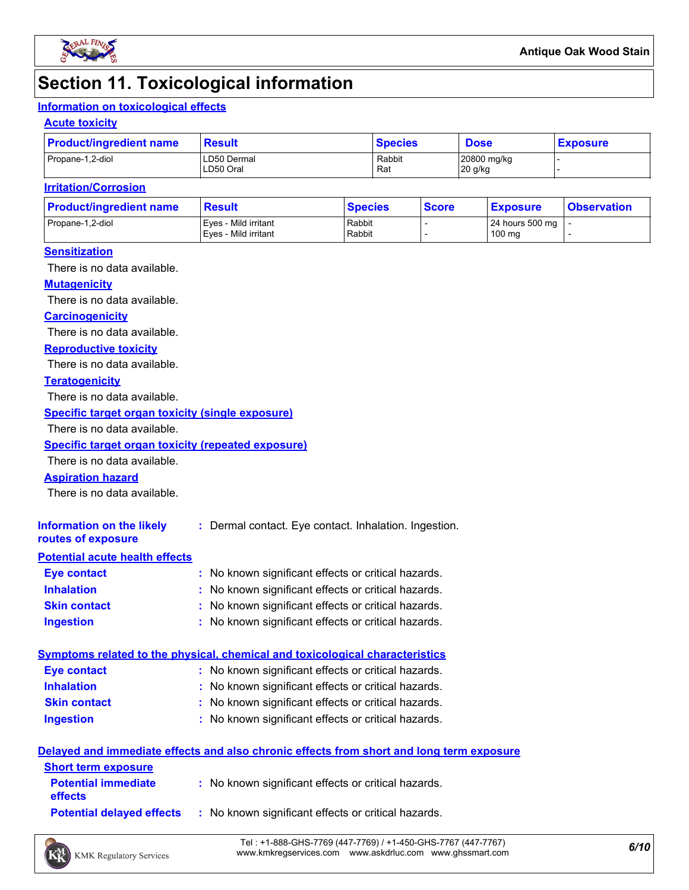

## **Section 11. Toxicological information**

#### **Information on toxicological effects**

#### **Acute toxicity**

| <b>Product/ingredient name</b> | <b>Result</b>            | <b>Species</b> | <b>Dose</b>            | <b>Exposure</b> |
|--------------------------------|--------------------------|----------------|------------------------|-----------------|
| Propane-1,2-diol               | LD50 Dermal<br>LD50 Oral | Rabbit<br>Rat  | 20800 mg/kg<br>20 g/kg |                 |

#### **Irritation/Corrosion**

| <b>Product/ingredient name</b> | <b>Result</b>                                | <b>Species</b>   | <b>Score</b> | <u>  Exposure</u>         | <b>Observation</b> |
|--------------------------------|----------------------------------------------|------------------|--------------|---------------------------|--------------------|
| Propane-1,2-diol               | Eves - Mild irritant<br>Eves - Mild irritant | Rabbit<br>Rabbit |              | 24 hours 500 mg<br>100 mg |                    |
|                                |                                              |                  |              |                           |                    |

#### **Sensitization**

There is no data available.

#### **Mutagenicity**

There is no data available.

#### **Carcinogenicity**

There is no data available.

#### **Reproductive toxicity**

There is no data available.

#### **Teratogenicity**

There is no data available.

#### **Specific target organ toxicity (single exposure)**

There is no data available.

#### **Specific target organ toxicity (repeated exposure)**

There is no data available.

#### **Aspiration hazard**

There is no data available.

| Information on the likely<br>routes of exposure | : Dermal contact. Eye contact. Inhalation. Ingestion. |
|-------------------------------------------------|-------------------------------------------------------|
| <b>Potential acute health effects</b>           |                                                       |
| <b>Eye contact</b>                              | : No known significant effects or critical hazards.   |
| <b>Inhalation</b>                               | : No known significant effects or critical hazards.   |
| <b>Skin contact</b>                             | : No known significant effects or critical hazards.   |

#### **Ingestion :** No known significant effects or critical hazards.

| <u>Symptoms related to the physical, chemical and toxicological characteristics</u> |                                                     |  |  |  |
|-------------------------------------------------------------------------------------|-----------------------------------------------------|--|--|--|
| Eye contact                                                                         | : No known significant effects or critical hazards. |  |  |  |
| <b>Inhalation</b>                                                                   | : No known significant effects or critical hazards. |  |  |  |
| <b>Skin contact</b>                                                                 | : No known significant effects or critical hazards. |  |  |  |
| <b>Ingestion</b>                                                                    | : No known significant effects or critical hazards. |  |  |  |

#### **Delayed and immediate effects and also chronic effects from short and long term exposure**

| <b>Short term exposure</b>                   |                                                     |
|----------------------------------------------|-----------------------------------------------------|
| <b>Potential immediate</b><br><b>effects</b> | : No known significant effects or critical hazards. |
| <b>Potential delaved effects</b>             | : No known significant effects or critical hazards. |

*6/10* Tel : +1-888-GHS-7769 (447-7769) / +1-450-GHS-7767 (447-7767) www.kmkregservices.com www.askdrluc.com www.ghssmart.com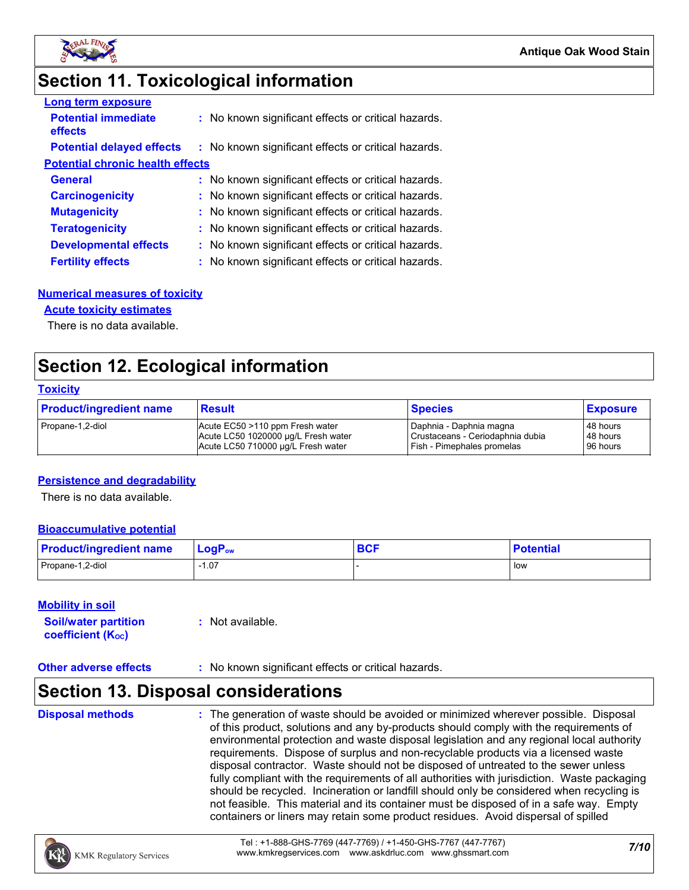

### **Section 11. Toxicological information**

| <b>Long term exposure</b>               |                                                     |
|-----------------------------------------|-----------------------------------------------------|
| <b>Potential immediate</b><br>effects   | : No known significant effects or critical hazards. |
| <b>Potential delayed effects</b>        | : No known significant effects or critical hazards. |
| <b>Potential chronic health effects</b> |                                                     |
| <b>General</b>                          | : No known significant effects or critical hazards. |
| <b>Carcinogenicity</b>                  | : No known significant effects or critical hazards. |
| <b>Mutagenicity</b>                     | : No known significant effects or critical hazards. |
| <b>Teratogenicity</b>                   | : No known significant effects or critical hazards. |
| <b>Developmental effects</b>            | : No known significant effects or critical hazards. |
| <b>Fertility effects</b>                | : No known significant effects or critical hazards. |

#### **Numerical measures of toxicity**

#### **Acute toxicity estimates**

There is no data available.

### **Section 12. Ecological information**

#### **Toxicity**

| <b>Product/ingredient name</b> | <b>Result</b>                       | <b>Species</b>                   | <b>Exposure</b> |
|--------------------------------|-------------------------------------|----------------------------------|-----------------|
| Propane-1,2-diol               | Acute EC50 >110 ppm Fresh water     | Daphnia - Daphnia magna          | 48 hours        |
|                                | Acute LC50 1020000 µg/L Fresh water | Crustaceans - Ceriodaphnia dubia | 48 hours        |
|                                | Acute LC50 710000 ug/L Fresh water  | Fish - Pimephales promelas       | 96 hours        |

#### **Persistence and degradability**

There is no data available.

#### **Bioaccumulative potential**

| <b>Product/ingredient name</b> | $\mathsf{LogP}_\mathsf{ow}$ | <b>DAC</b><br><b>DUI</b> | <b>Potential</b> |
|--------------------------------|-----------------------------|--------------------------|------------------|
| Propane-1,2-diol               | 07، ا                       |                          | l low            |

#### **Mobility in soil**

| <b>Soil/water partition</b> | $:$ Not available. |
|-----------------------------|--------------------|
| <b>coefficient (Koc)</b>    |                    |

#### **Other adverse effects** : No known significant effects or critical hazards.

### **Section 13. Disposal considerations**

**Disposal methods :**

The generation of waste should be avoided or minimized wherever possible. Disposal of this product, solutions and any by-products should comply with the requirements of environmental protection and waste disposal legislation and any regional local authority requirements. Dispose of surplus and non-recyclable products via a licensed waste disposal contractor. Waste should not be disposed of untreated to the sewer unless fully compliant with the requirements of all authorities with jurisdiction. Waste packaging should be recycled. Incineration or landfill should only be considered when recycling is not feasible. This material and its container must be disposed of in a safe way. Empty containers or liners may retain some product residues. Avoid dispersal of spilled

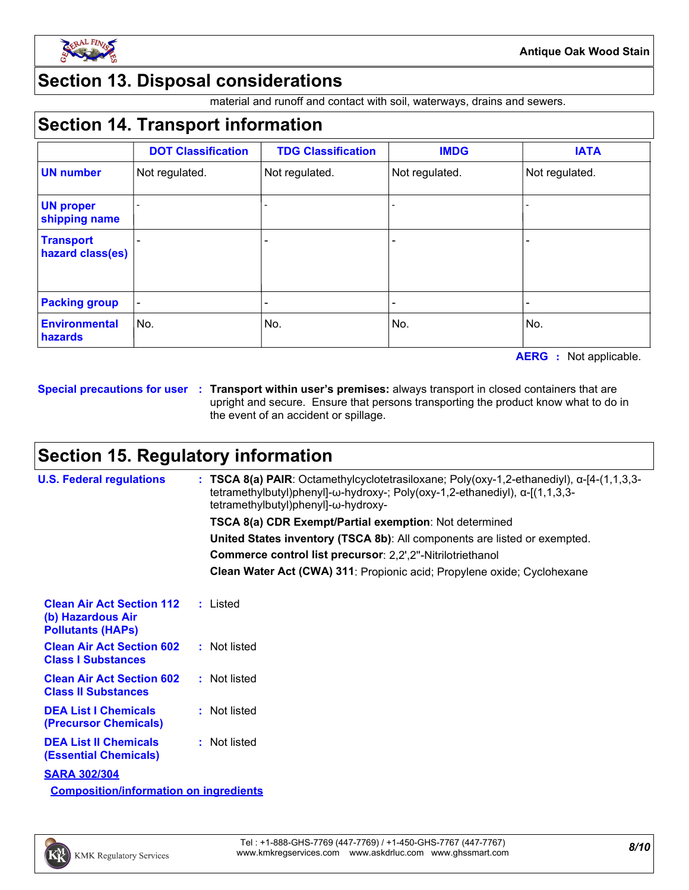

### **Section 13. Disposal considerations**

material and runoff and contact with soil, waterways, drains and sewers.

### **Section 14. Transport information**

|                                      | <b>DOT Classification</b> | <b>TDG Classification</b> | <b>IMDG</b>    | <b>IATA</b>    |
|--------------------------------------|---------------------------|---------------------------|----------------|----------------|
| <b>UN number</b>                     | Not regulated.            | Not regulated.            | Not regulated. | Not regulated. |
| <b>UN proper</b><br>shipping name    |                           |                           |                |                |
| <b>Transport</b><br>hazard class(es) |                           | -                         |                |                |
| <b>Packing group</b>                 |                           |                           |                |                |
| <b>Environmental</b><br>hazards      | No.                       | No.                       | No.            | No.            |

**AERG :** Not applicable.

**Special precautions for user Transport within user's premises:** always transport in closed containers that are **:** upright and secure. Ensure that persons transporting the product know what to do in the event of an accident or spillage.

### **Section 15. Regulatory information**

| <b>U.S. Federal regulations</b>                                                   | : TSCA 8(a) PAIR: Octamethylcyclotetrasiloxane; Poly(oxy-1,2-ethanediyl), $\alpha$ -[4-(1,1,3,3-<br>tetramethylbutyl)phenyl]- $\omega$ -hydroxy-; Poly(oxy-1,2-ethanediyl), $\alpha$ -[(1,1,3,3-<br>tetramethylbutyl)phenyl]-ω-hydroxy- |
|-----------------------------------------------------------------------------------|-----------------------------------------------------------------------------------------------------------------------------------------------------------------------------------------------------------------------------------------|
|                                                                                   | <b>TSCA 8(a) CDR Exempt/Partial exemption: Not determined</b>                                                                                                                                                                           |
|                                                                                   | United States inventory (TSCA 8b): All components are listed or exempted.                                                                                                                                                               |
|                                                                                   | Commerce control list precursor: 2,2',2"-Nitrilotriethanol                                                                                                                                                                              |
|                                                                                   | Clean Water Act (CWA) 311: Propionic acid; Propylene oxide; Cyclohexane                                                                                                                                                                 |
| <b>Clean Air Act Section 112</b><br>(b) Hazardous Air<br><b>Pollutants (HAPs)</b> | : Listed                                                                                                                                                                                                                                |
| <b>Clean Air Act Section 602</b><br><b>Class I Substances</b>                     | : Not listed                                                                                                                                                                                                                            |
| <b>Clean Air Act Section 602</b><br><b>Class II Substances</b>                    | : Not listed                                                                                                                                                                                                                            |
| <b>DEA List I Chemicals</b><br><b>(Precursor Chemicals)</b>                       | : Not listed                                                                                                                                                                                                                            |
| <b>DEA List II Chemicals</b><br><b>(Essential Chemicals)</b>                      | : Not listed                                                                                                                                                                                                                            |
| <b>SARA 302/304</b>                                                               |                                                                                                                                                                                                                                         |
| <b>Composition/information on ingredients</b>                                     |                                                                                                                                                                                                                                         |

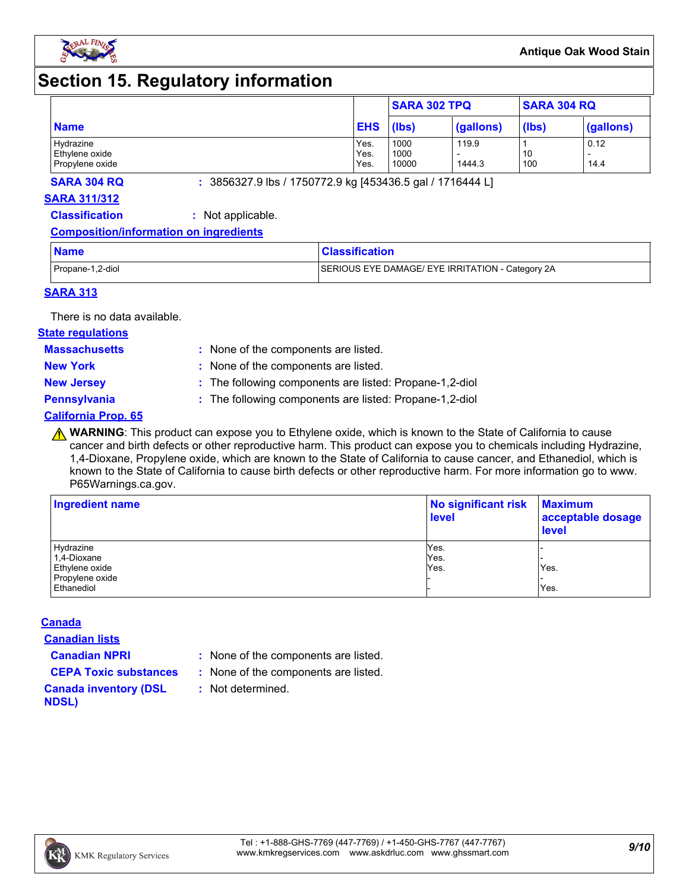

### **Section 15. Regulatory information**

|                                                |                      | <b>SARA 302 TPQ</b>   |                 | <b>SARA 304 RQ</b> |              |
|------------------------------------------------|----------------------|-----------------------|-----------------|--------------------|--------------|
| <b>Name</b>                                    | <b>EHS</b>           | (lbs)                 | (gallons)       | (lbs)              | (gallons)    |
| Hydrazine<br>Ethylene oxide<br>Propylene oxide | Yes.<br>Yes.<br>Yes. | 1000<br>1000<br>10000 | 119.9<br>1444.3 | 10<br>100          | 0.12<br>14.4 |

**SARA 304 RQ :** 3856327.9 lbs / 1750772.9 kg [453436.5 gal / 1716444 L]

#### **SARA 311/312**

**Classification :** Not applicable.

#### **Composition/information on ingredients**

| <b>Name</b>      | <b>Classification</b>                            |
|------------------|--------------------------------------------------|
| Propane-1,2-diol | SERIOUS EYE DAMAGE/ EYE IRRITATION - Category 2A |

#### **SARA 313**

There is no data available.

#### **State regulations**

**Massachusetts :**

- : None of the components are listed. **New York :** None of the components are listed.
- 
- **New Jersey :** The following components are listed: Propane-1,2-diol

**Pennsylvania :** The following components are listed: Propane-1,2-diol

#### **California Prop. 65**

**A WARNING**: This product can expose you to Ethylene oxide, which is known to the State of California to cause cancer and birth defects or other reproductive harm. This product can expose you to chemicals including Hydrazine, 1,4-Dioxane, Propylene oxide, which are known to the State of California to cause cancer, and Ethanediol, which is known to the State of California to cause birth defects or other reproductive harm. For more information go to www. P65Warnings.ca.gov.

| Ingredient name | No significant risk<br><b>level</b> | <b>Maximum</b><br>acceptable dosage<br><b>level</b> |  |
|-----------------|-------------------------------------|-----------------------------------------------------|--|
| Hydrazine       | Yes.                                |                                                     |  |
| 1,4-Dioxane     | Yes.                                |                                                     |  |
| Ethylene oxide  | Yes.                                | Yes.                                                |  |
| Propylene oxide |                                     |                                                     |  |
| Ethanediol      |                                     | Yes.                                                |  |

#### **Canada**

**Canadian lists**

- **Canadian NPRI :** None of the components are listed.
- **CEPA Toxic substances :** None of the components are listed.
	- **:** Not determined.

#### **Canada inventory (DSL NDSL)**